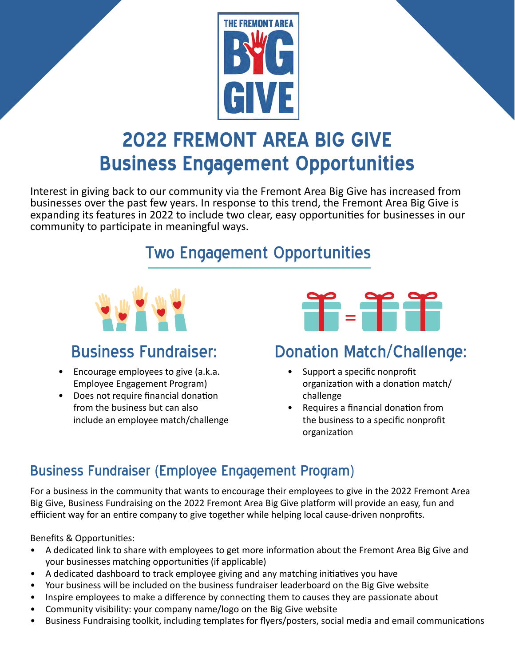

# **2022 FREMONT AREA BIG GIVE Business Engagement Opportunities**

Interest in giving back to our community via the Fremont Area Big Give has increased from businesses over the past few years. In response to this trend, the Fremont Area Big Give is expanding its features in 2022 to include two clear, easy opportunities for businesses in our community to participate in meaningful ways.

## Two Engagement Opportunities



- Encourage employees to give (a.k.a. Employee Engagement Program)
- Does not require financial donation from the business but can also include an employee match/challenge



## Business Fundraiser: Donation Match/Challenge:

- Support a specific nonprofit organization with a donation match/ challenge
- Requires a financial donation from the business to a specific nonprofit organization

### Business Fundraiser (Employee Engagement Program)

For a business in the community that wants to encourage their employees to give in the 2022 Fremont Area Big Give, Business Fundraising on the 2022 Fremont Area Big Give platform will provide an easy, fun and effiicient way for an entire company to give together while helping local cause-driven nonprofits.

Benefits & Opportunities:

- A dedicated link to share with employees to get more information about the Fremont Area Big Give and your businesses matching opportunities (if applicable)
- A dedicated dashboard to track employee giving and any matching initiatives you have
- Your business will be included on the business fundraiser leaderboard on the Big Give website
- Inspire employees to make a difference by connecting them to causes they are passionate about
- Community visibility: your company name/logo on the Big Give website
- Business Fundraising toolkit, including templates for flyers/posters, social media and email communications